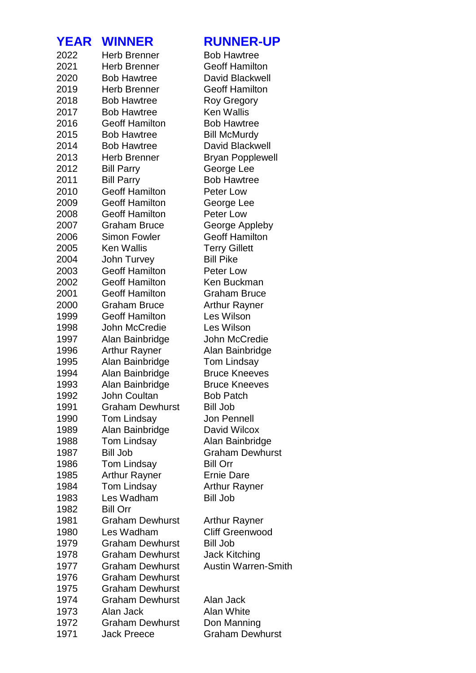| YEAR         | <b>WINNER</b>                                    | <b>RUNNER-UP</b>                   |
|--------------|--------------------------------------------------|------------------------------------|
| 2022         | <b>Herb Brenner</b>                              | <b>Bob Hawtree</b>                 |
| 2021         | <b>Herb Brenner</b>                              | <b>Geoff Hamilton</b>              |
| 2020         | <b>Bob Hawtree</b>                               | David Blackwell                    |
| 2019         | <b>Herb Brenner</b>                              | <b>Geoff Hamilton</b>              |
| 2018         | <b>Bob Hawtree</b>                               | <b>Roy Gregory</b>                 |
| 2017         | <b>Bob Hawtree</b>                               | <b>Ken Wallis</b>                  |
| 2016         | <b>Geoff Hamilton</b>                            | <b>Bob Hawtree</b>                 |
| 2015         | <b>Bob Hawtree</b>                               | <b>Bill McMurdy</b>                |
| 2014         | <b>Bob Hawtree</b>                               | David Blackwell                    |
| 2013         | <b>Herb Brenner</b>                              | <b>Bryan Popplewell</b>            |
| 2012         | <b>Bill Parry</b>                                | George Lee                         |
| 2011         | <b>Bill Parry</b>                                | <b>Bob Hawtree</b>                 |
| 2010         | <b>Geoff Hamilton</b>                            | Peter Low                          |
| 2009         | <b>Geoff Hamilton</b>                            | George Lee                         |
| 2008         | <b>Geoff Hamilton</b>                            | Peter Low                          |
| 2007         | <b>Graham Bruce</b>                              | George Appleby                     |
| 2006         | <b>Simon Fowler</b>                              | <b>Geoff Hamilton</b>              |
| 2005         | <b>Ken Wallis</b>                                | <b>Terry Gillett</b>               |
| 2004         | John Turvey                                      | <b>Bill Pike</b>                   |
| 2003         | <b>Geoff Hamilton</b>                            | Peter Low                          |
| 2002         | <b>Geoff Hamilton</b>                            | Ken Buckman                        |
| 2001<br>2000 | <b>Geoff Hamilton</b><br><b>Graham Bruce</b>     | <b>Graham Bruce</b>                |
| 1999         | <b>Geoff Hamilton</b>                            | <b>Arthur Rayner</b><br>Les Wilson |
| 1998         | John McCredie                                    | Les Wilson                         |
| 1997         | Alan Bainbridge                                  | John McCredie                      |
| 1996         | <b>Arthur Rayner</b>                             | Alan Bainbridge                    |
| 1995         | Alan Bainbridge                                  | <b>Tom Lindsay</b>                 |
| 1994         | Alan Bainbridge                                  | <b>Bruce Kneeves</b>               |
| 1993         | Alan Bainbridge                                  | <b>Bruce Kneeves</b>               |
| 1992         | John Coultan                                     | <b>Bob Patch</b>                   |
| 1991         | <b>Graham Dewhurst</b>                           | <b>Bill Job</b>                    |
| 1990         | <b>Tom Lindsay</b>                               | <b>Jon Pennell</b>                 |
| 1989         | Alan Bainbridge                                  | David Wilcox                       |
| 1988         | <b>Tom Lindsay</b>                               | Alan Bainbridge                    |
| 1987         | <b>Bill Job</b>                                  | <b>Graham Dewhurst</b>             |
| 1986         | <b>Tom Lindsay</b>                               | <b>Bill Orr</b>                    |
| 1985         | <b>Arthur Rayner</b>                             | <b>Ernie Dare</b>                  |
| 1984         | <b>Tom Lindsay</b>                               | <b>Arthur Rayner</b>               |
| 1983         | Les Wadham                                       | <b>Bill Job</b>                    |
| 1982         | <b>Bill Orr</b>                                  |                                    |
| 1981         | <b>Graham Dewhurst</b>                           | Arthur Rayner                      |
| 1980         | Les Wadham                                       | <b>Cliff Greenwood</b>             |
| 1979         | <b>Graham Dewhurst</b>                           | <b>Bill Job</b>                    |
| 1978         | <b>Graham Dewhurst</b>                           | Jack Kitching                      |
| 1977         | <b>Graham Dewhurst</b>                           | <b>Austin Warren-Smith</b>         |
| 1976         | <b>Graham Dewhurst</b>                           |                                    |
| 1975<br>1974 | <b>Graham Dewhurst</b><br><b>Graham Dewhurst</b> | Alan Jack                          |
| 1973         | Alan Jack                                        | <b>Alan White</b>                  |
| 1972         | <b>Graham Dewhurst</b>                           | Don Manning                        |
| 1971         | <b>Jack Preece</b>                               | <b>Graham Dewhurst</b>             |
|              |                                                  |                                    |